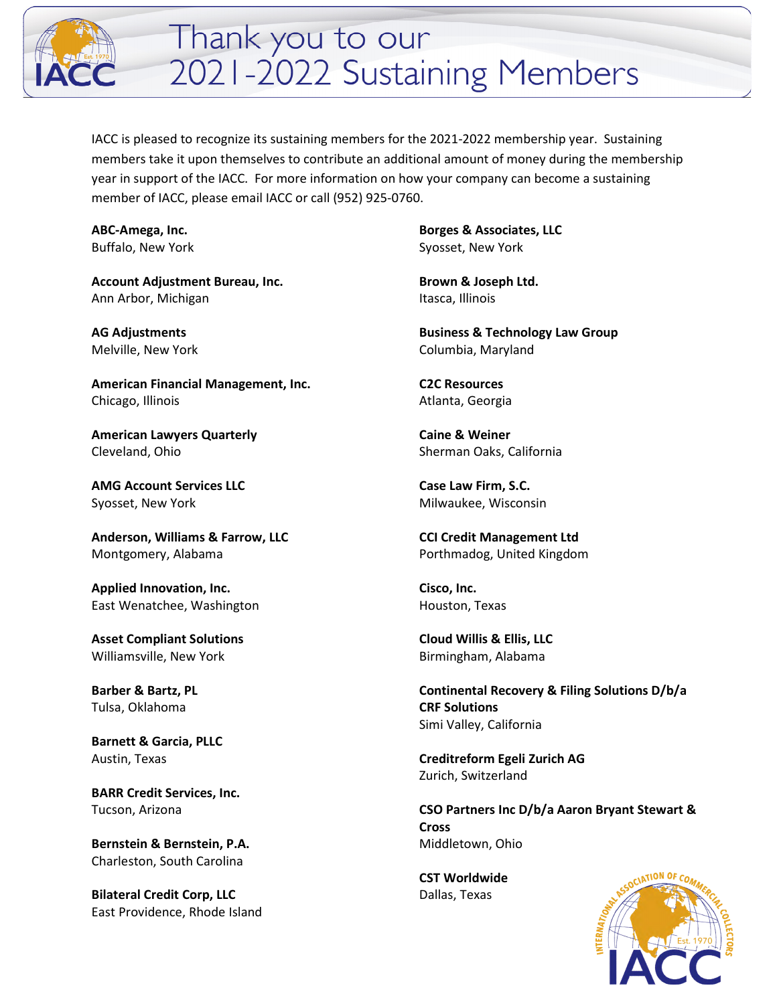

## Thank you to our 2021-2022 Sustaining Members

IACC is pleased to recognize its sustaining members for the 2021-2022 membership year. Sustaining members take it upon themselves to contribute an additional amount of money during the membership year in support of the IACC. For more information on how your company can become a sustaining member of IACC, please email IACC or call (952) 925-0760.

**ABC-Amega, Inc.**  Buffalo, New York

**Account Adjustment Bureau, Inc.**  Ann Arbor, Michigan

**AG Adjustments** Melville, New York

**American Financial Management, Inc.**  Chicago, Illinois

**American Lawyers Quarterly**  Cleveland, Ohio

**AMG Account Services LLC** Syosset, New York

**Anderson, Williams & Farrow, LLC**  Montgomery, Alabama

**Applied Innovation, Inc.**  East Wenatchee, Washington

**Asset Compliant Solutions**  Williamsville, New York

**Barber & Bartz, PL**  Tulsa, Oklahoma

**Barnett & Garcia, PLLC**  Austin, Texas

**BARR Credit Services, Inc.**  Tucson, Arizona

**Bernstein & Bernstein, P.A.**  Charleston, South Carolina

**Bilateral Credit Corp, LLC**  East Providence, Rhode Island

**Borges & Associates, LLC**  Syosset, New York

**Brown & Joseph Ltd.**  Itasca, Illinois

**Business & Technology Law Group**  Columbia, Maryland

**C2C Resources**  Atlanta, Georgia

**Caine & Weiner**  Sherman Oaks, California

**Case Law Firm, S.C.**  Milwaukee, Wisconsin

**CCI Credit Management Ltd**  Porthmadog, United Kingdom

**Cisco, Inc.**  Houston, Texas

**Cloud Willis & Ellis, LLC**  Birmingham, Alabama

**Continental Recovery & Filing Solutions D/b/a CRF Solutions**  Simi Valley, California

**Creditreform Egeli Zurich AG**  Zurich, Switzerland

**CSO Partners Inc D/b/a Aaron Bryant Stewart & Cross**  Middletown, Ohio

**CST Worldwide**  Dallas, Texas

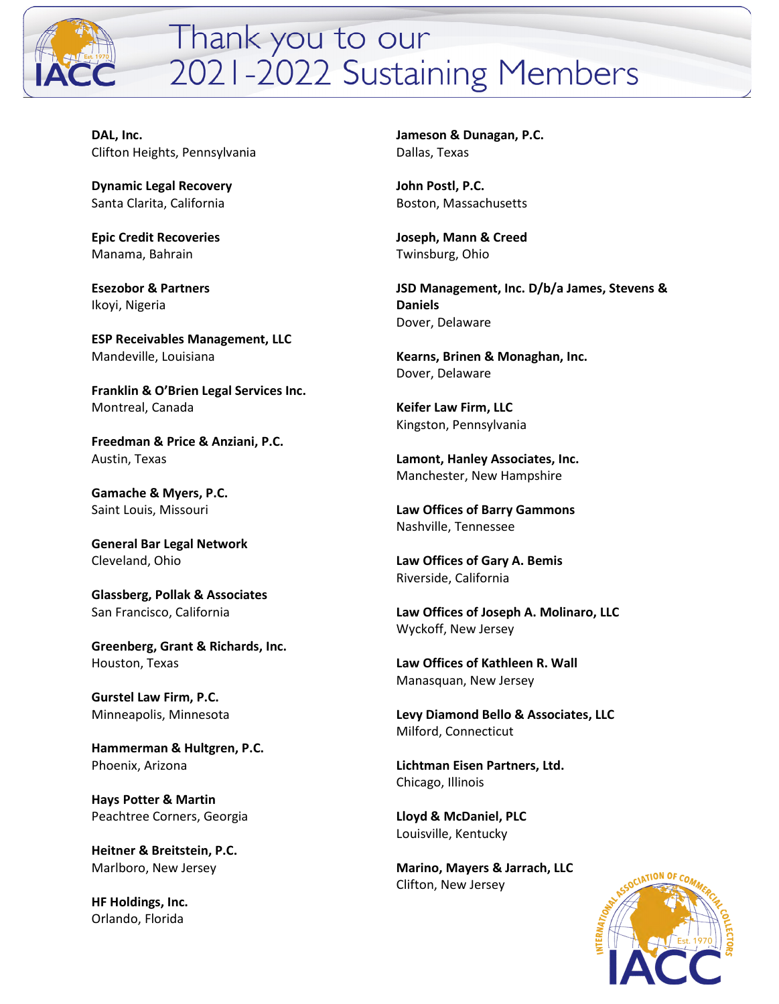

## Thank you to our 2021-2022 Sustaining Members

**DAL, Inc.**  Clifton Heights, Pennsylvania

**Dynamic Legal Recovery**  Santa Clarita, California

**Epic Credit Recoveries**  Manama, Bahrain

**Esezobor & Partners**  Ikoyi, Nigeria

**ESP Receivables Management, LLC**  Mandeville, Louisiana

**Franklin & O'Brien Legal Services Inc.**  Montreal, Canada

**Freedman & Price & Anziani, P.C.**  Austin, Texas

**Gamache & Myers, P.C.**  Saint Louis, Missouri

**General Bar Legal Network**  Cleveland, Ohio

**Glassberg, Pollak & Associates**  San Francisco, California

**Greenberg, Grant & Richards, Inc.**  Houston, Texas

**Gurstel Law Firm, P.C.**  Minneapolis, Minnesota

**Hammerman & Hultgren, P.C.**  Phoenix, Arizona

**Hays Potter & Martin**  Peachtree Corners, Georgia

**Heitner & Breitstein, P.C.**  Marlboro, New Jersey

**HF Holdings, Inc.**  Orlando, Florida

**Jameson & Dunagan, P.C.**  Dallas, Texas

**John Postl, P.C.**  Boston, Massachusetts

**Joseph, Mann & Creed**  Twinsburg, Ohio

**JSD Management, Inc. D/b/a James, Stevens & Daniels**  Dover, Delaware

**Kearns, Brinen & Monaghan, Inc.**  Dover, Delaware

**Keifer Law Firm, LLC**  Kingston, Pennsylvania

**Lamont, Hanley Associates, Inc.**  Manchester, New Hampshire

**Law Offices of Barry Gammons** Nashville, Tennessee

**Law Offices of Gary A. Bemis**  Riverside, California

**Law Offices of Joseph A. Molinaro, LLC**  Wyckoff, New Jersey

**Law Offices of Kathleen R. Wall**  Manasquan, New Jersey

**Levy Diamond Bello & Associates, LLC**  Milford, Connecticut

**Lichtman Eisen Partners, Ltd.**  Chicago, Illinois

**Lloyd & McDaniel, PLC**  Louisville, Kentucky

**Marino, Mayers & Jarrach, LLC**  Clifton, New Jersey

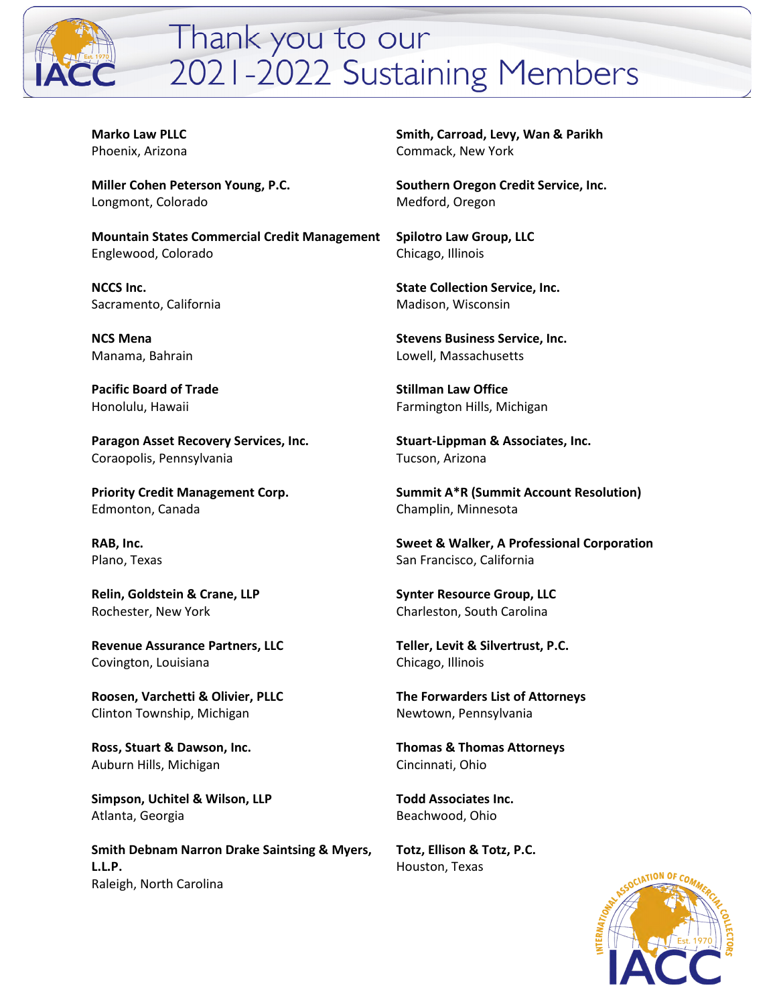

## Thank you to our 2021-2022 Sustaining Members

**Marko Law PLLC**  Phoenix, Arizona

**Miller Cohen Peterson Young, P.C.**  Longmont, Colorado

**Mountain States Commercial Credit Management**  Englewood, Colorado

**NCCS Inc.**  Sacramento, California

**NCS Mena**  Manama, Bahrain

**Pacific Board of Trade**  Honolulu, Hawaii

**Paragon Asset Recovery Services, Inc.**  Coraopolis, Pennsylvania

**Priority Credit Management Corp.**  Edmonton, Canada

**RAB, Inc.**  Plano, Texas

**Relin, Goldstein & Crane, LLP**  Rochester, New York

**Revenue Assurance Partners, LLC**  Covington, Louisiana

**Roosen, Varchetti & Olivier, PLLC**  Clinton Township, Michigan

**Ross, Stuart & Dawson, Inc.**  Auburn Hills, Michigan

**Simpson, Uchitel & Wilson, LLP**  Atlanta, Georgia

**Smith Debnam Narron Drake Saintsing & Myers, L.L.P.**  Raleigh, North Carolina

**Smith, Carroad, Levy, Wan & Parikh**  Commack, New York

**Southern Oregon Credit Service, Inc.**  Medford, Oregon

**Spilotro Law Group, LLC**  Chicago, Illinois

**State Collection Service, Inc.**  Madison, Wisconsin

**Stevens Business Service, Inc.**  Lowell, Massachusetts

**Stillman Law Office**  Farmington Hills, Michigan

**Stuart-Lippman & Associates, Inc.**  Tucson, Arizona

**Summit A\*R (Summit Account Resolution)**  Champlin, Minnesota

**Sweet & Walker, A Professional Corporation**  San Francisco, California

**Synter Resource Group, LLC**  Charleston, South Carolina

**Teller, Levit & Silvertrust, P.C.**  Chicago, Illinois

**The Forwarders List of Attorneys**  Newtown, Pennsylvania

**Thomas & Thomas Attorneys**  Cincinnati, Ohio

**Todd Associates Inc.**  Beachwood, Ohio

**Totz, Ellison & Totz, P.C.**  Houston, Texas